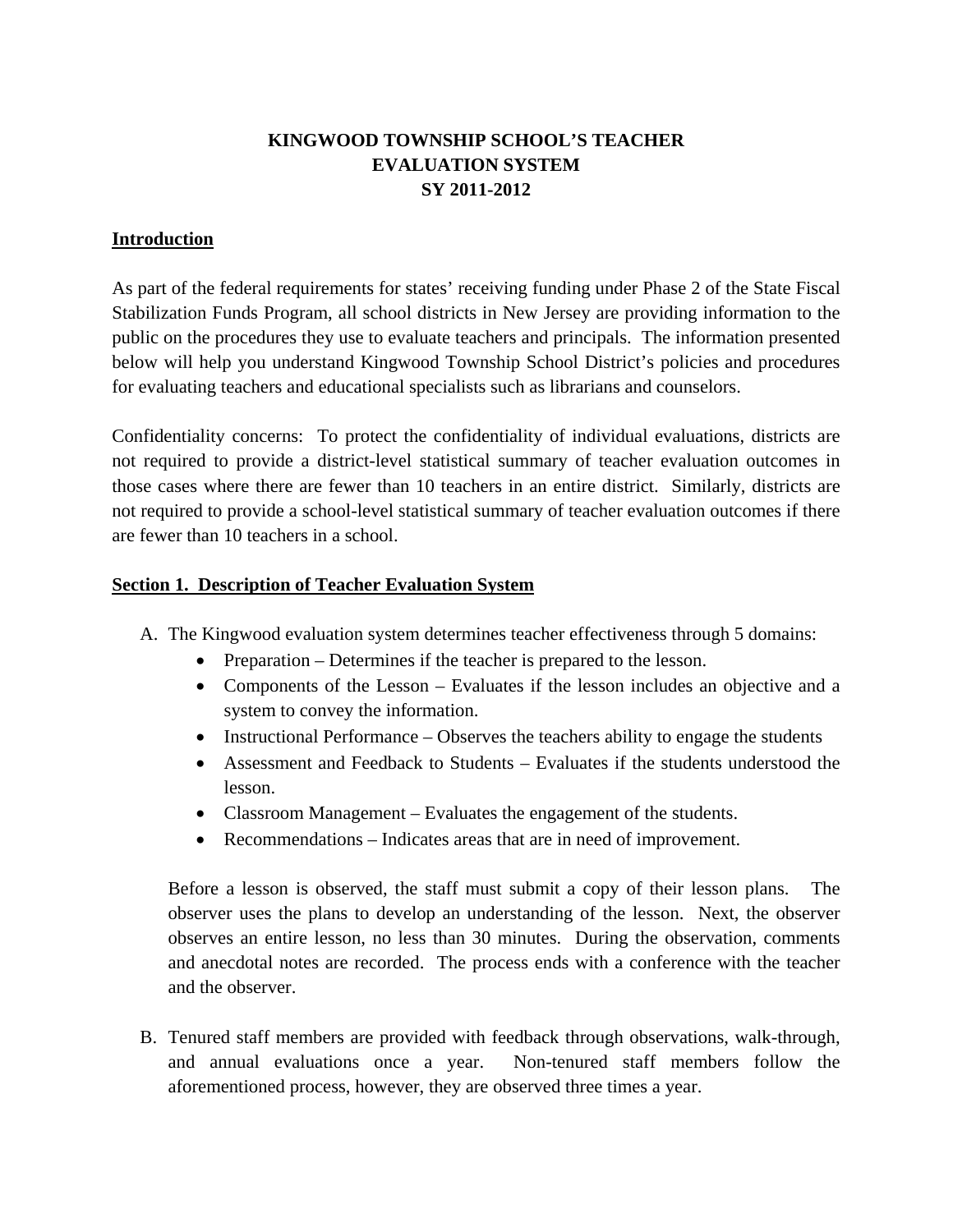# **KINGWOOD TOWNSHIP SCHOOL'S TEACHER EVALUATION SYSTEM SY 2011-2012**

### **Introduction**

As part of the federal requirements for states' receiving funding under Phase 2 of the State Fiscal Stabilization Funds Program, all school districts in New Jersey are providing information to the public on the procedures they use to evaluate teachers and principals. The information presented below will help you understand Kingwood Township School District's policies and procedures for evaluating teachers and educational specialists such as librarians and counselors.

Confidentiality concerns: To protect the confidentiality of individual evaluations, districts are not required to provide a district-level statistical summary of teacher evaluation outcomes in those cases where there are fewer than 10 teachers in an entire district. Similarly, districts are not required to provide a school-level statistical summary of teacher evaluation outcomes if there are fewer than 10 teachers in a school.

### **Section 1. Description of Teacher Evaluation System**

- A. The Kingwood evaluation system determines teacher effectiveness through 5 domains:
	- Preparation Determines if the teacher is prepared to the lesson.
	- Components of the Lesson Evaluates if the lesson includes an objective and a system to convey the information.
	- Instructional Performance Observes the teachers ability to engage the students
	- Assessment and Feedback to Students Evaluates if the students understood the lesson.
	- Classroom Management Evaluates the engagement of the students.
	- Recommendations Indicates areas that are in need of improvement.

Before a lesson is observed, the staff must submit a copy of their lesson plans. The observer uses the plans to develop an understanding of the lesson. Next, the observer observes an entire lesson, no less than 30 minutes. During the observation, comments and anecdotal notes are recorded. The process ends with a conference with the teacher and the observer.

B. Tenured staff members are provided with feedback through observations, walk-through, and annual evaluations once a year. Non-tenured staff members follow the aforementioned process, however, they are observed three times a year.